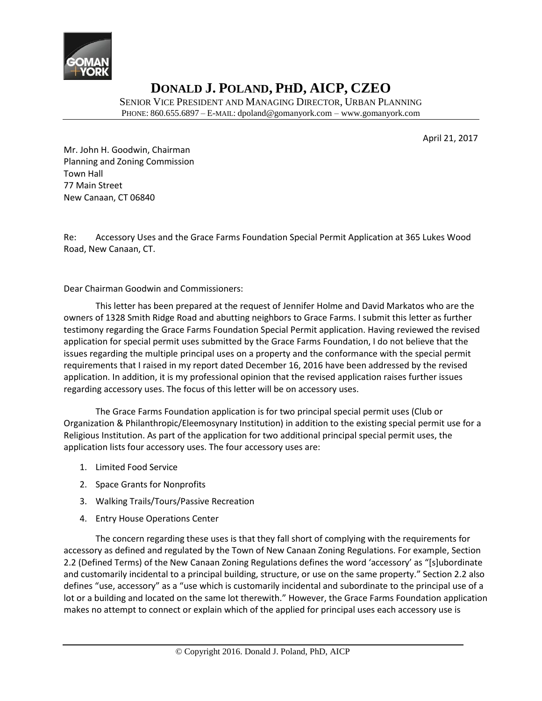

SENIOR VICE PRESIDENT AND MANAGING DIRECTOR, URBAN PLANNING PHONE: 860.655.6897 – E-MAIL: dpoland@gomanyork.com – www.gomanyork.com

April 21, 2017

Mr. John H. Goodwin, Chairman Planning and Zoning Commission Town Hall 77 Main Street New Canaan, CT 06840

Re: Accessory Uses and the Grace Farms Foundation Special Permit Application at 365 Lukes Wood Road, New Canaan, CT.

Dear Chairman Goodwin and Commissioners:

This letter has been prepared at the request of Jennifer Holme and David Markatos who are the owners of 1328 Smith Ridge Road and abutting neighbors to Grace Farms. I submit this letter as further testimony regarding the Grace Farms Foundation Special Permit application. Having reviewed the revised application for special permit uses submitted by the Grace Farms Foundation, I do not believe that the issues regarding the multiple principal uses on a property and the conformance with the special permit requirements that I raised in my report dated December 16, 2016 have been addressed by the revised application. In addition, it is my professional opinion that the revised application raises further issues regarding accessory uses. The focus of this letter will be on accessory uses.

The Grace Farms Foundation application is for two principal special permit uses (Club or Organization & Philanthropic/Eleemosynary Institution) in addition to the existing special permit use for a Religious Institution. As part of the application for two additional principal special permit uses, the application lists four accessory uses. The four accessory uses are:

- 1. Limited Food Service
- 2. Space Grants for Nonprofits
- 3. Walking Trails/Tours/Passive Recreation
- 4. Entry House Operations Center

The concern regarding these uses is that they fall short of complying with the requirements for accessory as defined and regulated by the Town of New Canaan Zoning Regulations. For example, Section 2.2 (Defined Terms) of the New Canaan Zoning Regulations defines the word 'accessory' as "[s]ubordinate and customarily incidental to a principal building, structure, or use on the same property." Section 2.2 also defines "use, accessory" as a "use which is customarily incidental and subordinate to the principal use of a lot or a building and located on the same lot therewith." However, the Grace Farms Foundation application makes no attempt to connect or explain which of the applied for principal uses each accessory use is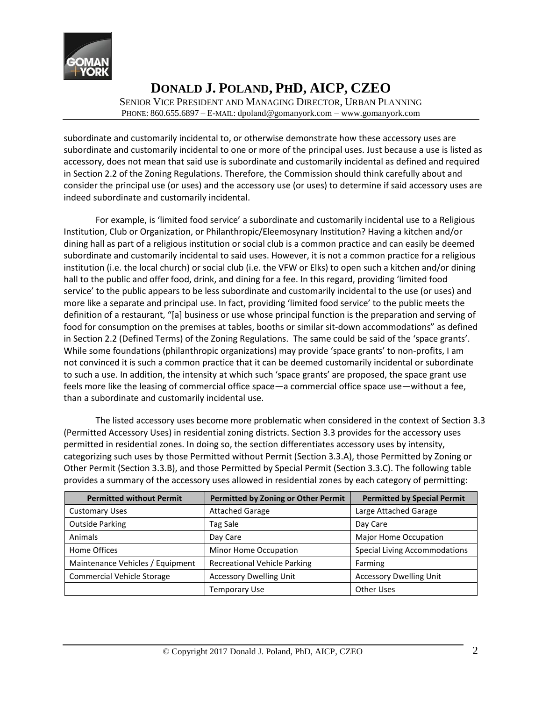

SENIOR VICE PRESIDENT AND MANAGING DIRECTOR, URBAN PLANNING PHONE: 860.655.6897 – E-MAIL: dpoland@gomanyork.com – www.gomanyork.com

subordinate and customarily incidental to, or otherwise demonstrate how these accessory uses are subordinate and customarily incidental to one or more of the principal uses. Just because a use is listed as accessory, does not mean that said use is subordinate and customarily incidental as defined and required in Section 2.2 of the Zoning Regulations. Therefore, the Commission should think carefully about and consider the principal use (or uses) and the accessory use (or uses) to determine if said accessory uses are indeed subordinate and customarily incidental.

For example, is 'limited food service' a subordinate and customarily incidental use to a Religious Institution, Club or Organization, or Philanthropic/Eleemosynary Institution? Having a kitchen and/or dining hall as part of a religious institution or social club is a common practice and can easily be deemed subordinate and customarily incidental to said uses. However, it is not a common practice for a religious institution (i.e. the local church) or social club (i.e. the VFW or Elks) to open such a kitchen and/or dining hall to the public and offer food, drink, and dining for a fee. In this regard, providing 'limited food service' to the public appears to be less subordinate and customarily incidental to the use (or uses) and more like a separate and principal use. In fact, providing 'limited food service' to the public meets the definition of a restaurant, "[a] business or use whose principal function is the preparation and serving of food for consumption on the premises at tables, booths or similar sit-down accommodations" as defined in Section 2.2 (Defined Terms) of the Zoning Regulations. The same could be said of the 'space grants'. While some foundations (philanthropic organizations) may provide 'space grants' to non-profits, I am not convinced it is such a common practice that it can be deemed customarily incidental or subordinate to such a use. In addition, the intensity at which such 'space grants' are proposed, the space grant use feels more like the leasing of commercial office space—a commercial office space use—without a fee, than a subordinate and customarily incidental use.

The listed accessory uses become more problematic when considered in the context of Section 3.3 (Permitted Accessory Uses) in residential zoning districts. Section 3.3 provides for the accessory uses permitted in residential zones. In doing so, the section differentiates accessory uses by intensity, categorizing such uses by those Permitted without Permit (Section 3.3.A), those Permitted by Zoning or Other Permit (Section 3.3.B), and those Permitted by Special Permit (Section 3.3.C). The following table provides a summary of the accessory uses allowed in residential zones by each category of permitting:

| <b>Permitted without Permit</b>   | Permitted by Zoning or Other Permit | <b>Permitted by Special Permit</b>   |
|-----------------------------------|-------------------------------------|--------------------------------------|
| <b>Customary Uses</b>             | <b>Attached Garage</b>              | Large Attached Garage                |
| <b>Outside Parking</b>            | Tag Sale                            | Day Care                             |
| Animals                           | Day Care                            | Major Home Occupation                |
| Home Offices                      | Minor Home Occupation               | <b>Special Living Accommodations</b> |
| Maintenance Vehicles / Equipment  | <b>Recreational Vehicle Parking</b> | Farming                              |
| <b>Commercial Vehicle Storage</b> | <b>Accessory Dwelling Unit</b>      | <b>Accessory Dwelling Unit</b>       |
|                                   | <b>Temporary Use</b>                | Other Uses                           |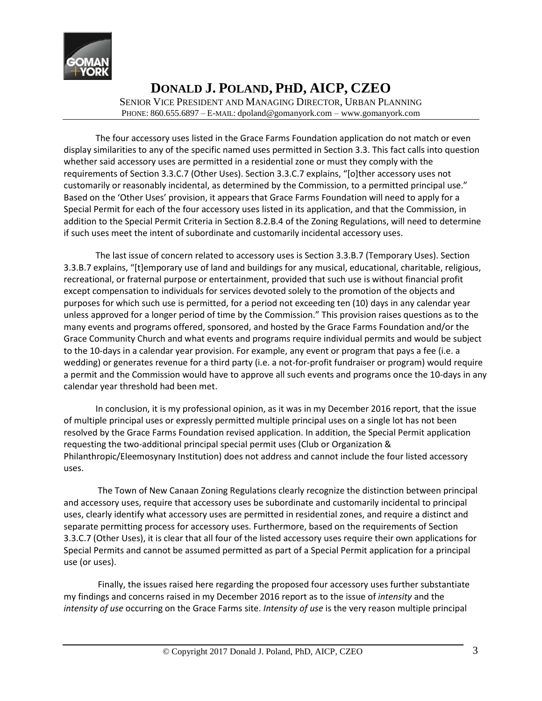

SENIOR VICE PRESIDENT AND MANAGING DIRECTOR, URBAN PLANNING PHONE: 860.655.6897 – E-MAIL: dpoland@gomanyork.com – www.gomanyork.com

The four accessory uses listed in the Grace Farms Foundation application do not match or even display similarities to any of the specific named uses permitted in Section 3.3. This fact calls into question whether said accessory uses are permitted in a residential zone or must they comply with the requirements of Section 3.3.C.7 (Other Uses). Section 3.3.C.7 explains, "[o]ther accessory uses not customarily or reasonably incidental, as determined by the Commission, to a permitted principal use." Based on the 'Other Uses' provision, it appears that Grace Farms Foundation will need to apply for a Special Permit for each of the four accessory uses listed in its application, and that the Commission, in addition to the Special Permit Criteria in Section 8.2.B.4 of the Zoning Regulations, will need to determine if such uses meet the intent of subordinate and customarily incidental accessory uses.

The last issue of concern related to accessory uses is Section 3.3.B.7 (Temporary Uses). Section 3.3.B.7 explains, "[t]emporary use of land and buildings for any musical, educational, charitable, religious, recreational, or fraternal purpose or entertainment, provided that such use is without financial profit except compensation to individuals for services devoted solely to the promotion of the objects and purposes for which such use is permitted, for a period not exceeding ten (10) days in any calendar year unless approved for a longer period of time by the Commission." This provision raises questions as to the many events and programs offered, sponsored, and hosted by the Grace Farms Foundation and/or the Grace Community Church and what events and programs require individual permits and would be subject to the 10-days in a calendar year provision. For example, any event or program that pays a fee (i.e. a wedding) or generates revenue for a third party (i.e. a not-for-profit fundraiser or program) would require a permit and the Commission would have to approve all such events and programs once the 10-days in any calendar year threshold had been met.

In conclusion, it is my professional opinion, as it was in my December 2016 report, that the issue of multiple principal uses or expressly permitted multiple principal uses on a single lot has not been resolved by the Grace Farms Foundation revised application. In addition, the Special Permit application requesting the two-additional principal special permit uses (Club or Organization & Philanthropic/Eleemosynary Institution) does not address and cannot include the four listed accessory uses.

The Town of New Canaan Zoning Regulations clearly recognize the distinction between principal and accessory uses, require that accessory uses be subordinate and customarily incidental to principal uses, clearly identify what accessory uses are permitted in residential zones, and require a distinct and separate permitting process for accessory uses. Furthermore, based on the requirements of Section 3.3.C.7 (Other Uses), it is clear that all four of the listed accessory uses require their own applications for Special Permits and cannot be assumed permitted as part of a Special Permit application for a principal use (or uses).

Finally, the issues raised here regarding the proposed four accessory uses further substantiate my findings and concerns raised in my December 2016 report as to the issue of *intensity* and the *intensity of use* occurring on the Grace Farms site. *Intensity of use* is the very reason multiple principal